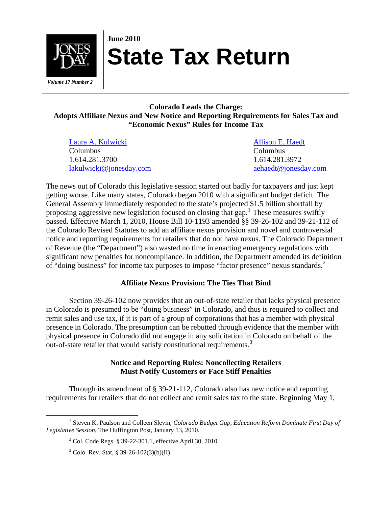

# **June 2010 State Tax Return**

 *Volume 17 Number 2* 

# **Colorado Leads the Charge: Adopts Affiliate Nexus and New Notice and Reporting Requirements for Sales Tax and "Economic Nexus" Rules for Income Tax**

| Laura A. Kulwicki       |  |
|-------------------------|--|
| Columbus                |  |
| 1.614.281.3700          |  |
| lakulwicki@jonesday.com |  |

[Allison E. Haedt](http://www.jonesday.com/aehaedt/) Columbus 1.614.281.3972 [lakulwicki@jonesday.com](mailto:lakulwicki@jonesday.com) [aehaedt@jonesday.com](mailto:aehaedt@jonesday.com) 

The news out of Colorado this legislative session started out badly for taxpayers and just kept getting worse. Like many states, Colorado began 2010 with a significant budget deficit. The General Assembly immediately responded to the state's projected \$1.5 billion shortfall by proposing aggressive new legislation focused on closing that gap.<sup>[1](#page-0-0)</sup> These measures swiftly passed. Effective March 1, 2010, House Bill 10-1193 amended §§ 39-26-102 and 39-21-112 of the Colorado Revised Statutes to add an affiliate nexus provision and novel and controversial notice and reporting requirements for retailers that do not have nexus. The Colorado Department of Revenue (the "Department") also wasted no time in enacting emergency regulations with significant new penalties for noncompliance. In addition, the Department amended its definition of "doing business" for income tax purposes to impose "factor presence" nexus standards.<sup>[2](#page-0-1)</sup>

# **Affiliate Nexus Provision: The Ties That Bind**

 Section 39-26-102 now provides that an out-of-state retailer that lacks physical presence in Colorado is presumed to be "doing business" in Colorado, and thus is required to collect and remit sales and use tax, if it is part of a group of corporations that has a member with physical presence in Colorado. The presumption can be rebutted through evidence that the member with physical presence in Colorado did not engage in any solicitation in Colorado on behalf of the out-of-state retailer that would satisfy constitutional requirements.<sup>[3](#page-0-2)</sup>

## **Notice and Reporting Rules: Noncollecting Retailers Must Notify Customers or Face Stiff Penalties**

 Through its amendment of § 39-21-112, Colorado also has new notice and reporting requirements for retailers that do not collect and remit sales tax to the state. Beginning May 1,

<span id="page-0-2"></span><span id="page-0-1"></span><span id="page-0-0"></span> $\begin{array}{c|c}\n\hline\n\end{array}$ <sup>1</sup> Steven K. Paulson and Colleen Slevin, *Colorado Budget Gap, Education Reform Dominate First Day of Legislative Session*, The Huffington Post, January 13, 2010.

<sup>&</sup>lt;sup>2</sup> Col. Code Regs. § 39-22-301.1, effective April 30, 2010.

 $3^3$  Colo. Rev. Stat, § 39-26-102(3)(b)(II).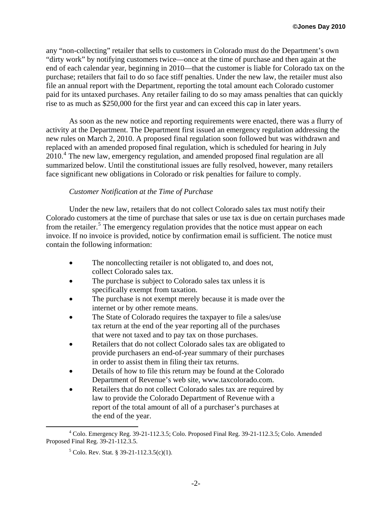any "non-collecting" retailer that sells to customers in Colorado must do the Department's own "dirty work" by notifying customers twice—once at the time of purchase and then again at the end of each calendar year, beginning in 2010—that the customer is liable for Colorado tax on the purchase; retailers that fail to do so face stiff penalties. Under the new law, the retailer must also file an annual report with the Department, reporting the total amount each Colorado customer paid for its untaxed purchases. Any retailer failing to do so may amass penalties that can quickly rise to as much as \$250,000 for the first year and can exceed this cap in later years.

 As soon as the new notice and reporting requirements were enacted, there was a flurry of activity at the Department. The Department first issued an emergency regulation addressing the new rules on March 2, 2010. A proposed final regulation soon followed but was withdrawn and replaced with an amended proposed final regulation, which is scheduled for hearing in July 2010.<sup>[4](#page-1-0)</sup> The new law, emergency regulation, and amended proposed final regulation are all summarized below. Until the constitutional issues are fully resolved, however, many retailers face significant new obligations in Colorado or risk penalties for failure to comply.

## *Customer Notification at the Time of Purchase*

 Under the new law, retailers that do not collect Colorado sales tax must notify their Colorado customers at the time of purchase that sales or use tax is due on certain purchases made from the retailer.<sup>[5](#page-1-1)</sup> The emergency regulation provides that the notice must appear on each invoice. If no invoice is provided, notice by confirmation email is sufficient. The notice must contain the following information:

- The noncollecting retailer is not obligated to, and does not, collect Colorado sales tax.
- The purchase is subject to Colorado sales tax unless it is specifically exempt from taxation.
- The purchase is not exempt merely because it is made over the internet or by other remote means.
- The State of Colorado requires the taxpayer to file a sales/use tax return at the end of the year reporting all of the purchases that were not taxed and to pay tax on those purchases.
- Retailers that do not collect Colorado sales tax are obligated to provide purchasers an end-of-year summary of their purchases in order to assist them in filing their tax returns.
- Details of how to file this return may be found at the Colorado Department of Revenue's web site, [www.taxcolorado.com](http://www.taxcolorado.com/).
- Retailers that do not collect Colorado sales tax are required by law to provide the Colorado Department of Revenue with a report of the total amount of all of a purchaser's purchases at the end of the year.

<span id="page-1-1"></span><span id="page-1-0"></span> $\frac{1}{4}$  Colo. Emergency Reg. 39-21-112.3.5; Colo. Proposed Final Reg. 39-21-112.3.5; Colo. Amended Proposed Final Reg. 39-21-112.3.5.

 $5^5$  Colo. Rev. Stat. § 39-21-112.3.5(c)(1).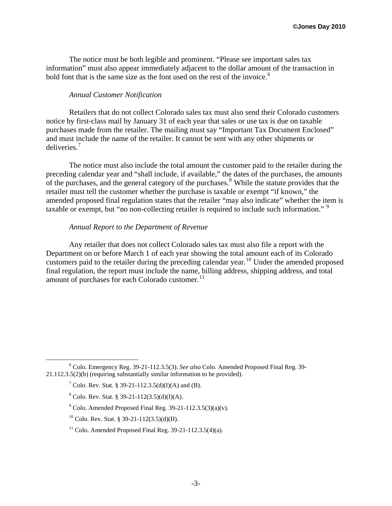The notice must be both legible and prominent. "Please see important sales tax information" must also appear immediately adjacent to the dollar amount of the transaction in bold font that is the same size as the font used on the rest of the invoice.<sup>[6](#page-2-0)</sup>

### *Annual Customer Notification*

 Retailers that do not collect Colorado sales tax must also send their Colorado customers notice by first-class mail by January 31 of each year that sales or use tax is due on taxable purchases made from the retailer. The mailing must say "Important Tax Document Enclosed" and must include the name of the retailer. It cannot be sent with any other shipments or deliveries.[7](#page-2-1)

 The notice must also include the total amount the customer paid to the retailer during the preceding calendar year and "shall include, if available," the dates of the purchases, the amounts of the purchases, and the general category of the purchases.<sup>[8](#page-2-2)</sup> While the statute provides that the retailer must tell the customer whether the purchase is taxable or exempt "if known," the amended proposed final regulation states that the retailer "may also indicate" whether the item is taxable or exempt, but "no non-collecting retailer is required to include such information."<sup>[9](#page-2-3)</sup>

#### *Annual Report to the Department of Revenue*

 Any retailer that does not collect Colorado sales tax must also file a report with the Department on or before March 1 of each year showing the total amount each of its Colorado customers paid to the retailer during the preceding calendar year.<sup>[10](#page-2-4)</sup> Under the amended proposed final regulation, the report must include the name, billing address, shipping address, and total amount of purchases for each Colorado customer.<sup>[11](#page-2-5)</sup>

<span id="page-2-3"></span><span id="page-2-2"></span><span id="page-2-1"></span><span id="page-2-0"></span> <sup>6</sup> Colo. Emergency Reg. 39-21-112.3.5(3). *See also* Colo. Amended Proposed Final Reg. 39- 21.112.3.5(2)(b) (requiring substantially similar information to be provided).

<sup>&</sup>lt;sup>7</sup> Colo. Rev. Stat. § 39-21-112.3.5(d)(I)(A) and (B).

 $8^8$  Colo. Rev. Stat. § 39-21-112(3.5)(d)(I)(A).

<sup>&</sup>lt;sup>9</sup> Colo. Amended Proposed Final Reg. 39-21-112.3.5(3)(a)(v).

<span id="page-2-4"></span><sup>&</sup>lt;sup>10</sup> Colo. Rev. Stat. § 39-21-112(3.5)(d)(II).

<span id="page-2-5"></span><sup>&</sup>lt;sup>11</sup> Colo. Amended Proposed Final Reg.  $39-21-112.3.5(4)(a)$ .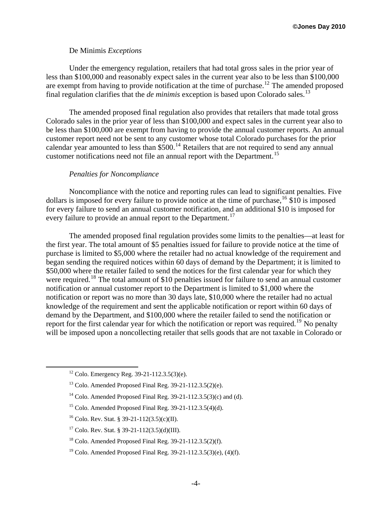#### De Minimis *Exceptions*

 Under the emergency regulation, retailers that had total gross sales in the prior year of less than \$100,000 and reasonably expect sales in the current year also to be less than \$100,000 are exempt from having to provide notification at the time of purchase.<sup>[12](#page-3-0)</sup> The amended proposed final regulation clarifies that the *de minimis* exception is based upon Colorado sales.<sup>[13](#page-3-1)</sup>

 The amended proposed final regulation also provides that retailers that made total gross Colorado sales in the prior year of less than \$100,000 and expect sales in the current year also to be less than \$100,000 are exempt from having to provide the annual customer reports. An annual customer report need not be sent to any customer whose total Colorado purchases for the prior calendar year amounted to less than  $$500.<sup>14</sup>$  $$500.<sup>14</sup>$  $$500.<sup>14</sup>$  Retailers that are not required to send any annual customer notifications need not file an annual report with the Department.<sup>[15](#page-3-3)</sup>

#### *Penalties for Noncompliance*

 Noncompliance with the notice and reporting rules can lead to significant penalties. Five dollars is imposed for every failure to provide notice at the time of purchase,  $16$  \$10 is imposed for every failure to send an annual customer notification, and an additional \$10 is imposed for every failure to provide an annual report to the Department.<sup>[17](#page-3-5)</sup>

 The amended proposed final regulation provides some limits to the penalties—at least for the first year. The total amount of \$5 penalties issued for failure to provide notice at the time of purchase is limited to \$5,000 where the retailer had no actual knowledge of the requirement and began sending the required notices within 60 days of demand by the Department; it is limited to \$50,000 where the retailer failed to send the notices for the first calendar year for which they were required.<sup>[18](#page-3-6)</sup> The total amount of \$10 penalties issued for failure to send an annual customer notification or annual customer report to the Department is limited to \$1,000 where the notification or report was no more than 30 days late, \$10,000 where the retailer had no actual knowledge of the requirement and sent the applicable notification or report within 60 days of demand by the Department, and \$100,000 where the retailer failed to send the notification or report for the first calendar year for which the notification or report was required.<sup>[19](#page-3-7)</sup> No penalty will be imposed upon a noncollecting retailer that sells goods that are not taxable in Colorado or

- <span id="page-3-2"></span><sup>14</sup> Colo. Amended Proposed Final Reg. 39-21-112.3.5(3)(c) and (d).
- <span id="page-3-3"></span><sup>15</sup> Colo. Amended Proposed Final Reg.  $39-21-112.3.5(4)(d)$ .
- <span id="page-3-4"></span><sup>16</sup> Colo. Rev. Stat. § 39-21-112(3.5)(c)(II).
- <span id="page-3-5"></span><sup>17</sup> Colo. Rev. Stat. § 39-21-112(3.5)(d)(III).
- <span id="page-3-6"></span> $18$  Colo. Amended Proposed Final Reg. 39-21-112.3.5(2)(f).
- <span id="page-3-7"></span><sup>19</sup> Colo. Amended Proposed Final Reg.  $39-21-112.3.5(3)(e)$ ,  $(4)(f)$ .

<span id="page-3-0"></span><sup>&</sup>lt;sup>12</sup> Colo. Emergency Reg. 39-21-112.3.5(3)(e).

<span id="page-3-1"></span><sup>&</sup>lt;sup>13</sup> Colo. Amended Proposed Final Reg.  $39-21-112.3.5(2)(e)$ .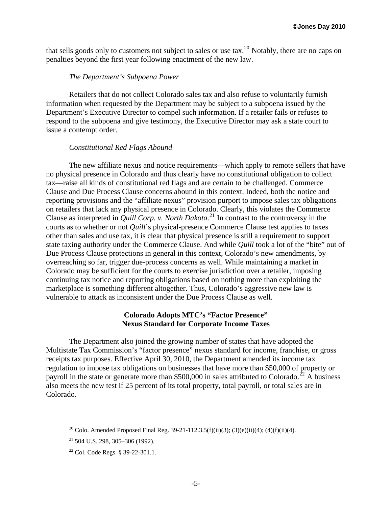that sells goods only to customers not subject to sales or use tax.<sup>[20](#page-4-0)</sup> Notably, there are no caps on penalties beyond the first year following enactment of the new law.

#### *The Department's Subpoena Power*

 Retailers that do not collect Colorado sales tax and also refuse to voluntarily furnish information when requested by the Department may be subject to a subpoena issued by the Department's Executive Director to compel such information. If a retailer fails or refuses to respond to the subpoena and give testimony, the Executive Director may ask a state court to issue a contempt order.

#### *Constitutional Red Flags Abound*

 The new affiliate nexus and notice requirements—which apply to remote sellers that have no physical presence in Colorado and thus clearly have no constitutional obligation to collect tax—raise all kinds of constitutional red flags and are certain to be challenged. Commerce Clause and Due Process Clause concerns abound in this context. Indeed, both the notice and reporting provisions and the "affiliate nexus" provision purport to impose sales tax obligations on retailers that lack any physical presence in Colorado. Clearly, this violates the Commerce Clause as interpreted in *Quill Corp. v. North Dakota*. [21](#page-4-1) In contrast to the controversy in the courts as to whether or not *Quill*'s physical-presence Commerce Clause test applies to taxes other than sales and use tax, it is clear that physical presence is still a requirement to support state taxing authority under the Commerce Clause. And while *Quill* took a lot of the "bite" out of Due Process Clause protections in general in this context, Colorado's new amendments, by overreaching so far, trigger due-process concerns as well. While maintaining a market in Colorado may be sufficient for the courts to exercise jurisdiction over a retailer, imposing continuing tax notice and reporting obligations based on nothing more than exploiting the marketplace is something different altogether. Thus, Colorado's aggressive new law is vulnerable to attack as inconsistent under the Due Process Clause as well.

#### **Colorado Adopts MTC's "Factor Presence" Nexus Standard for Corporate Income Taxes**

 The Department also joined the growing number of states that have adopted the Multistate Tax Commission's "factor presence" nexus standard for income, franchise, or gross receipts tax purposes. Effective April 30, 2010, the Department amended its income tax regulation to impose tax obligations on businesses that have more than \$50,000 of property or payroll in the state or generate more than \$500,000 in sales attributed to Colorado.<sup>[22](#page-4-2)</sup> A business also meets the new test if 25 percent of its total property, total payroll, or total sales are in Colorado.

<span id="page-4-0"></span><sup>&</sup>lt;sup>20</sup> Colo. Amended Proposed Final Reg. 39-21-112.3.5(f)(ii)(3); (3)(e)(ii)(4); (4)(f)(ii)(4).

<span id="page-4-1"></span> $21$  504 U.S. 298, 305–306 (1992).

<span id="page-4-2"></span><sup>22</sup> Col. Code Regs. § 39-22-301.1.